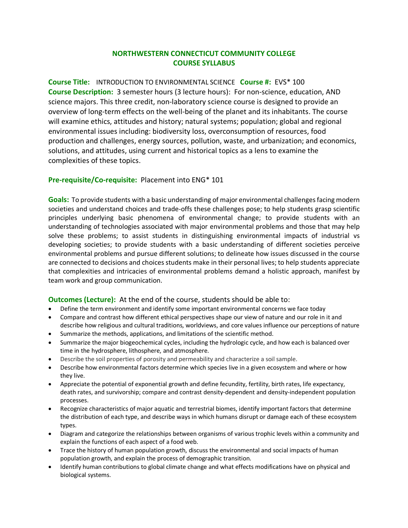## **NORTHWESTERN CONNECTICUT COMMUNITY COLLEGE COURSE SYLLABUS**

**Course Title:** INTRODUCTION TO ENVIRONMENTAL SCIENCE **Course #:** EVS\* 100 **Course Description:** 3 semester hours (3 lecture hours): For non-science, education, AND science majors. This three credit, non-laboratory science course is designed to provide an overview of long-term effects on the well-being of the planet and its inhabitants. The course will examine ethics, attitudes and history; natural systems; population; global and regional environmental issues including: biodiversity loss, overconsumption of resources, food production and challenges, energy sources, pollution, waste, and urbanization; and economics, solutions, and attitudes, using current and historical topics as a lens to examine the complexities of these topics.

## **Pre-requisite/Co-requisite:** Placement into ENG\* 101

**Goals:** To provide students with a basic understanding of major environmental challenges facing modern societies and understand choices and trade-offs these challenges pose; to help students grasp scientific principles underlying basic phenomena of environmental change; to provide students with an understanding of technologies associated with major environmental problems and those that may help solve these problems; to assist students in distinguishing environmental impacts of industrial vs developing societies; to provide students with a basic understanding of different societies perceive environmental problems and pursue different solutions; to delineate how issues discussed in the course are connected to decisions and choices students make in their personal lives; to help students appreciate that complexities and intricacies of environmental problems demand a holistic approach, manifest by team work and group communication.

## **Outcomes (Lecture):** At the end of the course, students should be able to:

- Define the term environment and identify some important environmental concerns we face today
- Compare and contrast how different ethical perspectives shape our view of nature and our role in it and describe how religious and cultural traditions, worldviews, and core values influence our perceptions of nature
- Summarize the methods, applications, and limitations of the scientific method.
- Summarize the major biogeochemical cycles, including the hydrologic cycle, and how each is balanced over time in the hydrosphere, lithosphere, and atmosphere.
- Describe the soil properties of porosity and permeability and characterize a soil sample.
- Describe how environmental factors determine which species live in a given ecosystem and where or how they live.
- Appreciate the potential of exponential growth and define fecundity, fertility, birth rates, life expectancy, death rates, and survivorship; compare and contrast density-dependent and density-independent population processes.
- Recognize characteristics of major aquatic and terrestrial biomes, identify important factors that determine the distribution of each type, and describe ways in which humans disrupt or damage each of these ecosystem types.
- Diagram and categorize the relationships between organisms of various trophic levels within a community and explain the functions of each aspect of a food web.
- Trace the history of human population growth, discuss the environmental and social impacts of human population growth, and explain the process of demographic transition.
- Identify human contributions to global climate change and what effects modifications have on physical and biological systems.